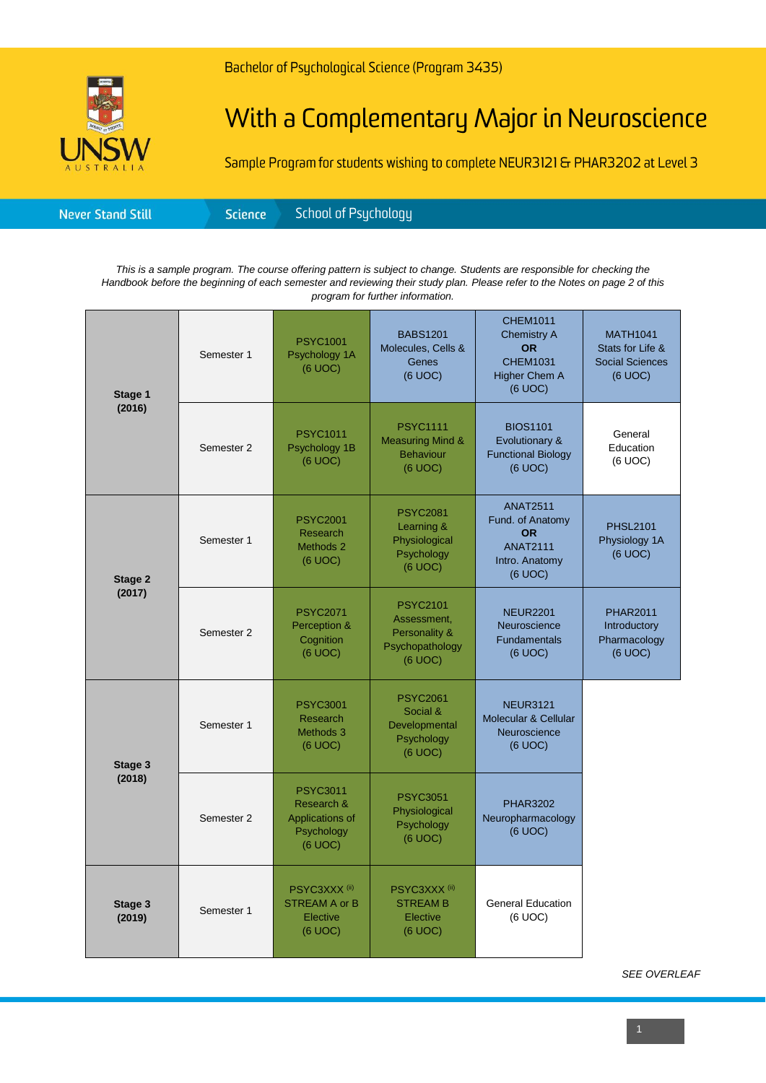

Bachelor of Psychological Science (Program 3435)

## With a Complementary Major in Neuroscience

Sample Program for students wishing to complete NEUR3121 & PHAR3202 at Level 3

| <b>Never Stand Still</b> | <b>Science</b> | School of Psychology <sup>1</sup> |
|--------------------------|----------------|-----------------------------------|
|--------------------------|----------------|-----------------------------------|

*This is a sample program. The course offering pattern is subject to change. Students are responsible for checking the Handbook before the beginning of each semester and reviewing their study plan. Please refer to the Notes on page 2 of this program for further information.*

| Stage 1<br>(2016) | Semester 1 | <b>PSYC1001</b><br>Psychology 1A<br>(6 UOC)                               | <b>BABS1201</b><br>Molecules, Cells &<br>Genes<br>(6 UOC)                     | <b>CHEM1011</b><br><b>Chemistry A</b><br><b>OR</b><br><b>CHEM1031</b><br><b>Higher Chem A</b><br>(6 UOC) | <b>MATH1041</b><br>Stats for Life &<br><b>Social Sciences</b><br>(6 UOC) |
|-------------------|------------|---------------------------------------------------------------------------|-------------------------------------------------------------------------------|----------------------------------------------------------------------------------------------------------|--------------------------------------------------------------------------|
|                   | Semester 2 | <b>PSYC1011</b><br>Psychology 1B<br>(6 UOC)                               | <b>PSYC1111</b><br><b>Measuring Mind &amp;</b><br><b>Behaviour</b><br>(6 UOC) | <b>BIOS1101</b><br>Evolutionary &<br><b>Functional Biology</b><br>(6 UOC)                                | General<br>Education<br>(6 UOC)                                          |
| Stage 2<br>(2017) | Semester 1 | <b>PSYC2001</b><br>Research<br>Methods 2<br>(6 UOC)                       | <b>PSYC2081</b><br>Learning &<br>Physiological<br>Psychology<br>(6 UOC)       | <b>ANAT2511</b><br>Fund. of Anatomy<br><b>OR</b><br><b>ANAT2111</b><br>Intro. Anatomy<br>(6 UOC)         | <b>PHSL2101</b><br>Physiology 1A<br>(6 UOC)                              |
|                   | Semester 2 | <b>PSYC2071</b><br>Perception &<br>Cognition<br>(6 UOC)                   | <b>PSYC2101</b><br>Assessment,<br>Personality &<br>Psychopathology<br>(6 UOC) | <b>NEUR2201</b><br>Neuroscience<br><b>Fundamentals</b><br>$(6$ UOC $)$                                   | <b>PHAR2011</b><br>Introductory<br>Pharmacology<br>(6 UOC)               |
| Stage 3<br>(2018) | Semester 1 | <b>PSYC3001</b><br><b>Research</b><br>Methods 3<br>(6 UOC)                | <b>PSYC2061</b><br>Social &<br>Developmental<br>Psychology<br>(6 UOC)         | <b>NEUR3121</b><br>Molecular & Cellular<br>Neuroscience<br>(6 UOC)                                       |                                                                          |
|                   | Semester 2 | <b>PSYC3011</b><br>Research &<br>Applications of<br>Psychology<br>(6 UOC) | <b>PSYC3051</b><br>Physiological<br>Psychology<br>(6 UOC)                     | <b>PHAR3202</b><br>Neuropharmacology<br>(6 UOC)                                                          |                                                                          |
| Stage 3<br>(2019) | Semester 1 | PSYC3XXX <sup>(ii)</sup><br><b>STREAM A or B</b><br>Elective<br>(6 UOC)   | PSYC3XXX <sup>(ii)</sup><br><b>STREAM B</b><br>Elective<br>(6 UOC)            | <b>General Education</b><br>(6 UOC)                                                                      |                                                                          |

*SEE OVERLEAF*